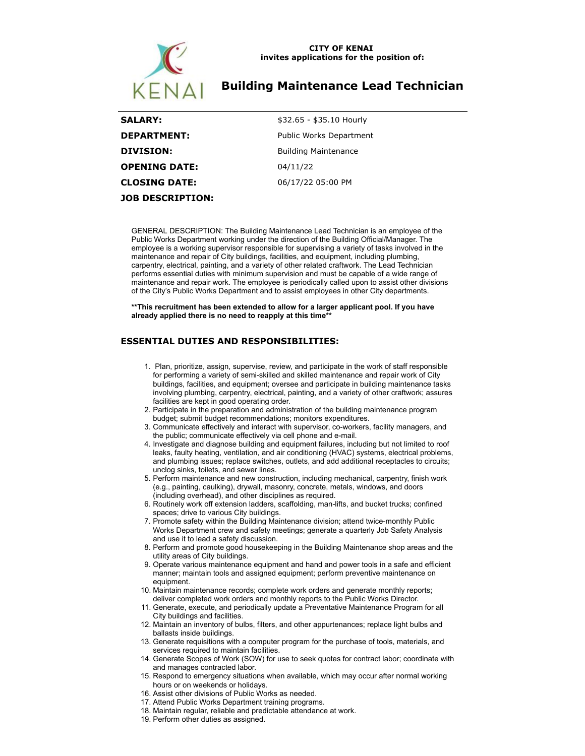

#### **CITY OF KENAI invites applications for the position of:**

# **Building Maintenance Lead Technician**

| <b>SALARY:</b>          | \$32.65 - \$35.10 Hourly       |
|-------------------------|--------------------------------|
| <b>DEPARTMENT:</b>      | <b>Public Works Department</b> |
| <b>DIVISION:</b>        | <b>Building Maintenance</b>    |
| <b>OPENING DATE:</b>    | 04/11/22                       |
| <b>CLOSING DATE:</b>    | 06/17/22 05:00 PM              |
| <b>JOB DESCRIPTION:</b> |                                |

GENERAL DESCRIPTION: The Building Maintenance Lead Technician is an employee of the Public Works Department working under the direction of the Building Official/Manager. The employee is a working supervisor responsible for supervising a variety of tasks involved in the maintenance and repair of City buildings, facilities, and equipment, including plumbing, carpentry, electrical, painting, and a variety of other related craftwork. The Lead Technician performs essential duties with minimum supervision and must be capable of a wide range of maintenance and repair work. The employee is periodically called upon to assist other divisions of the City's Public Works Department and to assist employees in other City departments.

### **\*\*This recruitment has been extended to allow for a larger applicant pool. If you have already applied there is no need to reapply at this time\*\***

## **ESSENTIAL DUTIES AND RESPONSIBILITIES:**

- 1. Plan, prioritize, assign, supervise, review, and participate in the work of staff responsible for performing a variety of semi-skilled and skilled maintenance and repair work of City buildings, facilities, and equipment; oversee and participate in building maintenance tasks involving plumbing, carpentry, electrical, painting, and a variety of other craftwork; assures facilities are kept in good operating order.
- 2. Participate in the preparation and administration of the building maintenance program budget; submit budget recommendations; monitors expenditures.
- 3. Communicate effectively and interact with supervisor, co-workers, facility managers, and the public; communicate effectively via cell phone and e-mail.
- 4. Investigate and diagnose building and equipment failures, including but not limited to roof leaks, faulty heating, ventilation, and air conditioning (HVAC) systems, electrical problems, and plumbing issues; replace switches, outlets, and add additional receptacles to circuits; unclog sinks, toilets, and sewer lines.
- 5. Perform maintenance and new construction, including mechanical, carpentry, finish work (e.g., painting, caulking), drywall, masonry, concrete, metals, windows, and doors (including overhead), and other disciplines as required.
- 6. Routinely work off extension ladders, scaffolding, man-lifts, and bucket trucks; confined spaces; drive to various City buildings.
- 7. Promote safety within the Building Maintenance division; attend twice-monthly Public Works Department crew and safety meetings; generate a quarterly Job Safety Analysis and use it to lead a safety discussion.
- 8. Perform and promote good housekeeping in the Building Maintenance shop areas and the utility areas of City buildings.
- 9. Operate various maintenance equipment and hand and power tools in a safe and efficient manner; maintain tools and assigned equipment; perform preventive maintenance on equipment.
- 10. Maintain maintenance records; complete work orders and generate monthly reports; deliver completed work orders and monthly reports to the Public Works Director.
- 11. Generate, execute, and periodically update a Preventative Maintenance Program for all City buildings and facilities.
- 12. Maintain an inventory of bulbs, filters, and other appurtenances; replace light bulbs and ballasts inside buildings.
- 13. Generate requisitions with a computer program for the purchase of tools, materials, and services required to maintain facilities.
- 14. Generate Scopes of Work (SOW) for use to seek quotes for contract labor; coordinate with and manages contracted labor.
- 15. Respond to emergency situations when available, which may occur after normal working hours or on weekends or holidays.
- 16. Assist other divisions of Public Works as needed.
- 17. Attend Public Works Department training programs.
- 18. Maintain regular, reliable and predictable attendance at work.
- 19. Perform other duties as assigned.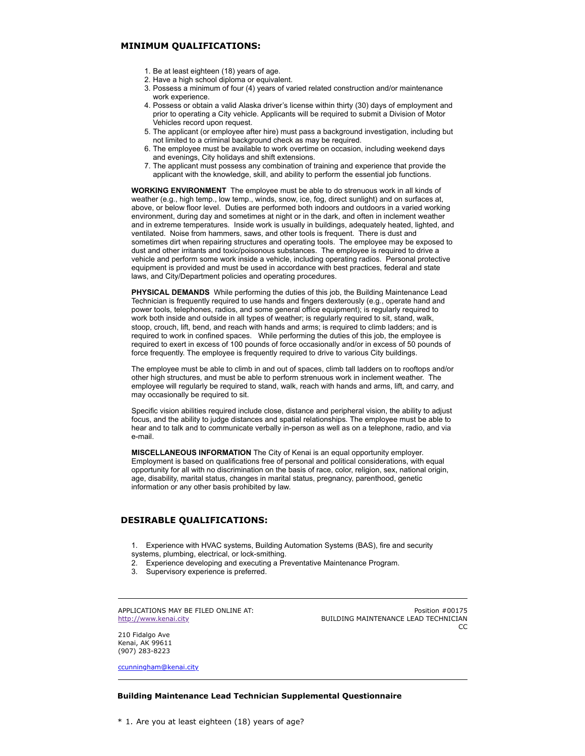### **MINIMUM QUALIFICATIONS:**

- 1. Be at least eighteen (18) years of age.
- 2. Have a high school diploma or equivalent.
- 3. Possess a minimum of four (4) years of varied related construction and/or maintenance work experience.
- 4. Possess or obtain a valid Alaska driver's license within thirty (30) days of employment and prior to operating a City vehicle. Applicants will be required to submit a Division of Motor Vehicles record upon request.
- 5. The applicant (or employee after hire) must pass a background investigation, including but not limited to a criminal background check as may be required.
- 6. The employee must be available to work overtime on occasion, including weekend days and evenings, City holidays and shift extensions.
- 7. The applicant must possess any combination of training and experience that provide the applicant with the knowledge, skill, and ability to perform the essential job functions.

**WORKING ENVIRONMENT** The employee must be able to do strenuous work in all kinds of weather (e.g., high temp., low temp., winds, snow, ice, fog, direct sunlight) and on surfaces at, above, or below floor level. Duties are performed both indoors and outdoors in a varied working environment, during day and sometimes at night or in the dark, and often in inclement weather and in extreme temperatures. Inside work is usually in buildings, adequately heated, lighted, and ventilated. Noise from hammers, saws, and other tools is frequent. There is dust and sometimes dirt when repairing structures and operating tools. The employee may be exposed to dust and other irritants and toxic/poisonous substances. The employee is required to drive a vehicle and perform some work inside a vehicle, including operating radios. Personal protective equipment is provided and must be used in accordance with best practices, federal and state laws, and City/Department policies and operating procedures.

**PHYSICAL DEMANDS** While performing the duties of this job, the Building Maintenance Lead Technician is frequently required to use hands and fingers dexterously (e.g., operate hand and power tools, telephones, radios, and some general office equipment); is regularly required to work both inside and outside in all types of weather; is regularly required to sit, stand, walk, stoop, crouch, lift, bend, and reach with hands and arms; is required to climb ladders; and is required to work in confined spaces. While performing the duties of this job, the employee is required to exert in excess of 100 pounds of force occasionally and/or in excess of 50 pounds of force frequently. The employee is frequently required to drive to various City buildings.

The employee must be able to climb in and out of spaces, climb tall ladders on to rooftops and/or other high structures, and must be able to perform strenuous work in inclement weather. The employee will regularly be required to stand, walk, reach with hands and arms, lift, and carry, and may occasionally be required to sit.

Specific vision abilities required include close, distance and peripheral vision, the ability to adjust focus, and the ability to judge distances and spatial relationships. The employee must be able to hear and to talk and to communicate verbally in-person as well as on a telephone, radio, and via e-mail.

**MISCELLANEOUS INFORMATION** The City of Kenai is an equal opportunity employer. Employment is based on qualifications free of personal and political considerations, with equal opportunity for all with no discrimination on the basis of race, color, religion, sex, national origin, age, disability, marital status, changes in marital status, pregnancy, parenthood, genetic information or any other basis prohibited by law.

### **DESIRABLE QUALIFICATIONS:**

- 1. Experience with HVAC systems, Building Automation Systems (BAS), fire and security systems, plumbing, electrical, or lock-smithing.
- 2. Experience developing and executing a Preventative Maintenance Program.
- 3. Supervisory experience is preferred.

APPLICATIONS MAY BE FILED ONLINE AT: [http://www.kenai.city](http://www.kenai.city/)

Position #00175 BUILDING MAINTENANCE LEAD TECHNICIAN CC

210 Fidalgo Ave Kenai, AK 99611 (907) 283-8223

[ccunningham@kenai.city](mailto:ccunningham@kenai.city)

### **Building Maintenance Lead Technician Supplemental Questionnaire**

\* 1. Are you at least eighteen (18) years of age?